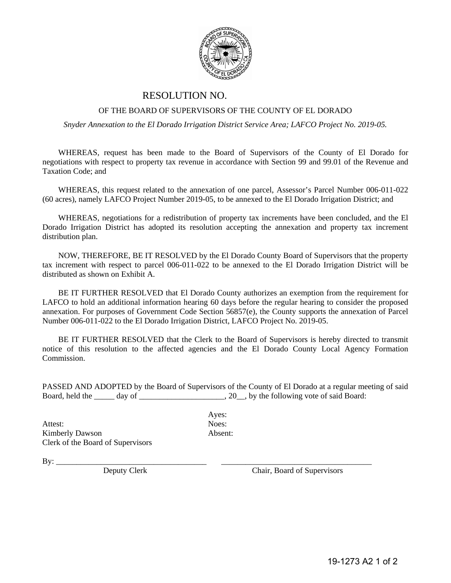

## RESOLUTION NO.

## OF THE BOARD OF SUPERVISORS OF THE COUNTY OF EL DORADO

*Snyder Annexation to the El Dorado Irrigation District Service Area; LAFCO Project No. 2019-05.* 

WHEREAS, request has been made to the Board of Supervisors of the County of El Dorado for negotiations with respect to property tax revenue in accordance with Section 99 and 99.01 of the Revenue and Taxation Code; and

WHEREAS, this request related to the annexation of one parcel, Assessor's Parcel Number 006-011-022 (60 acres), namely LAFCO Project Number 2019-05, to be annexed to the El Dorado Irrigation District; and

WHEREAS, negotiations for a redistribution of property tax increments have been concluded, and the El Dorado Irrigation District has adopted its resolution accepting the annexation and property tax increment distribution plan.

NOW, THEREFORE, BE IT RESOLVED by the El Dorado County Board of Supervisors that the property tax increment with respect to parcel 006-011-022 to be annexed to the El Dorado Irrigation District will be distributed as shown on Exhibit A.

BE IT FURTHER RESOLVED that El Dorado County authorizes an exemption from the requirement for LAFCO to hold an additional information hearing 60 days before the regular hearing to consider the proposed annexation. For purposes of Government Code Section 56857(e), the County supports the annexation of Parcel Number 006-011-022 to the El Dorado Irrigation District, LAFCO Project No. 2019-05.

BE IT FURTHER RESOLVED that the Clerk to the Board of Supervisors is hereby directed to transmit notice of this resolution to the affected agencies and the El Dorado County Local Agency Formation Commission.

PASSED AND ADOPTED by the Board of Supervisors of the County of El Dorado at a regular meeting of said Board, held the \_\_\_\_\_ day of \_\_\_\_\_\_\_\_\_\_\_\_\_\_\_\_\_\_, 20\_\_, by the following vote of said Board:

Attest: Noes: Kimberly Dawson Absent: Clerk of the Board of Supervisors

Ayes:

By: \_\_\_\_\_\_\_\_\_\_\_\_\_\_\_\_\_\_\_\_\_\_\_\_\_\_\_\_\_\_\_\_\_\_\_\_\_ \_\_\_\_\_\_\_\_\_\_\_\_\_\_\_\_\_\_\_\_\_\_\_\_\_\_\_\_\_\_\_\_\_\_\_\_\_

Chair, Board of Supervisors